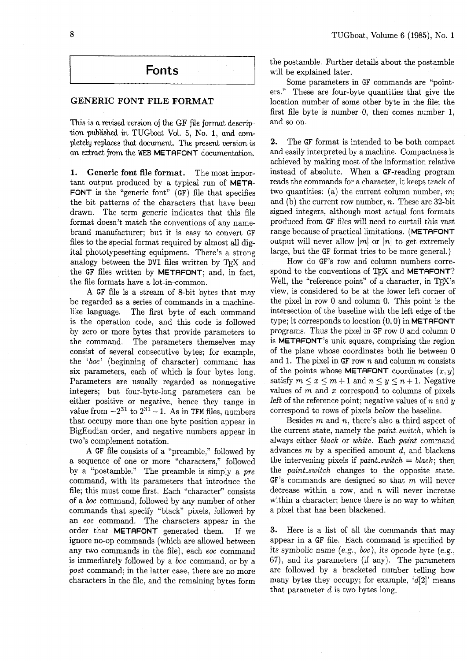## **Fonts**

## **GENERIC FONT FILE FORMAT**

This is a revised version of the GF file format description published in TUGboat Vol. 5, No. 1, and completely replaces that document. Tne present version is an eztract from the WEB METAFONT documentation.

1. **Generic font file format.** The most important output produced by a typical run of META-FONT is the "generic font" (GF) file that specifies the bit patterns of the characters that have been drawn. The term generic indicates that this file format doesn't match the conventions of any namebrand manufacturer; but it is easy to convert GF files to the special format required by almost all digital phototypesetting equipment. There's a strong analogy between the DVI files written by TFX and the GF files written by METAFONT; and, in fact, the file formats have a lot ia-eommon.

A GF file is a stream of 8-bit bytes that may be regarded as a series of commands in a machinelike language. The first byte of each command is the operation code, and this code is followed by zero or more bytes that provide parameters to the command. The parameters themselves may consist of several consecutive bytes; for example, the 'boc' (beginning of character) command has six parameters, each of which is four bytes long. Parameters are usually regarded as nonnegative integers; but four-byte-long parameters can be either positive or negative, hence they range in value from  $-2^{31}$  to  $2^{31} - 1$ . As in TFM files, numbers that occupy more than one byte position appear in BigEndian order, and negative numbers appear in two's complement notation.

A GF file consists of a "preamble," followed by a sequence of one or more "characters," followed by a "postamble." The preamble is simply a pre command, with its parameters that introduce the file; this must come first. Each "character" consists of a boc command, followed by any number of other commands that specify "black" pixels, followed by an eoc command. The characters appear in the order that METAFONT generated them. If we ignore no-op commands (which are allowed between any two commands in the file), each eoc command is immediately followed by a boc command, or by a post command; in the latter case, there are no more characters in the file, and the remaining bytes form the postamble. Further details about the postamble will be explained later.

Some parameters in GF commands are "pointers." These are four-byte quantities that give the location number of some other byte in the file; the first file byte is number 0, then comes number 1, and so on.

**2.** The GF format is intended to be both compact and easily interpreted by a machine. Compactness is achieved by making most of the information relative instead of absolute. When a GF-reading program reads the commands for a character, it keeps track of two quantities: (a) the current column number,  $m$ ; and  $(b)$  the current row number,  $n$ . These are 32-bit signed integers, although most actual font formats produced from GF files will need to curtail this vast range because of practical limitations. (METAFONT output will never allow  $|m|$  or  $|n|$  to get extremely large, but the GF format tries to be more general.)

How do GF's row and column numbers correspond to the conventions of TFX and METAFONT? Well, the "reference point" of a character, in TFX's view, is considered to be at the lower left corner of the pixel in row 0 and column 0. This point is the intersection of the baseline with the left edge of the type; it corresponds to location  $(0,0)$  in METAFONT programs. Thus the pixel in GF row 0 and column *0*  is METAFONT'S unit square, comprising the region of the plane whose coordinates both lie between 0 and 1. The pixel in GF row  $n$  and column  $m$  consists of the points whose **METAFONT** coordinates  $(x, y)$ satisfy  $m \leq x \leq m+1$  and  $n \leq y \leq n+1$ . Negative values of  $m$  and  $x$  correspond to columns of pixels left of the reference point; negative values of n and  $y$ correspond to rows of pixels below the baseline.

Besides  $m$  and  $n$ , there's also a third aspect of the current state, namely the paint-switch, which is always either black or white. Each paint command advances  $m$  by a specified amount  $d$ , and blackens the intervening pixels if *paint\_switch* =  $black$ ; then the paint-switch changes to the opposite state.  $GF's$  commands are designed so that m will never decrease within a row, and  $n$  will never increase within a character; hence there is no way to whiten a pixel that has been blackened.

**3.** Here is a list of all the commands that may appear in a GF file. Each command is specified by its symbolic name (e.g., boc), its opcode byte (e.g., **67),** and its parameters (if any). The parameters are followed by a bracketed number telling how many bytes they occupy; for example,  $d[2]$  means that parameter  $d$  is two bytes long.

8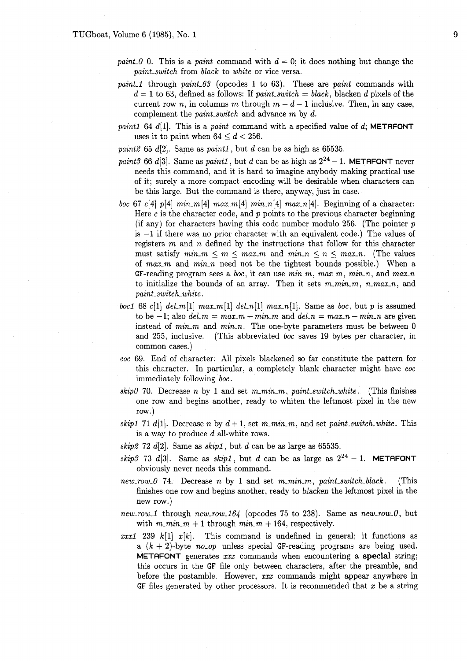- paint 0 0. This is a paint command with  $d = 0$ ; it does nothing but change the paint-switch from black to white or vice versa.
- paint 1 through paint  $63$  (opcodes 1 to 63). These are paint commands with  $d = 1$  to 63, defined as follows: If paint-switch = black, blacken d pixels of the current row n, in columns m through  $m + d - 1$  inclusive. Then, in any case, complement the paint-switch and advance m by d.
- paint1 64 d[1]. This is a paint command with a specified value of d; **METAFONT** uses it to paint when  $64 \leq d \leq 256$ .

paint2 65 d[2]. Same as paintl , but d can be as high **as** 65535.

- paint3 66 d[3]. Same as paint1, but d can be as high as  $2^{24} 1$ . **METAFONT** never needs this command, and it is hard to imagine anybody making practical use of it; surely a more compact encoding will be desirable when characters can be this large. But the command is there, anyway, just in case.
- boc 67 c [4]  $p$ [4]  $min_m$  [4]  $max_m$  [4]  $min_n$  [4]  $max_n$  [4]. Beginning of a character: Here c is the character code, and  $p$  points to the previous character beginning (if any) for characters having this code number modulo 256. (The pointer  $p$ is  $-1$  if there was no prior character with an equivalent code.) The values of registers  $m$  and  $n$  defined by the instructions that follow for this character must satisfy  $min_m \le m \le max_m$  and  $min_n \le n \le max_n$ . (The values of  $max_m$  and  $min_n$  need not be the tightest bounds possible.) When a GF-reading program sees a boc, it can use  $min_m$ ,  $max_m$ ,  $min_n$ , and  $max_n$ to initialize the bounds of an array. Then it sets  $m_{\perp}m_{\perp}m$ ,  $n_{\perp}m_{\alpha}x$ , and paint-switch-white .
- boc1 68 c[1] del-m[1]  $max_{m}$ [1] del-n[1]  $max_{m}$ [1]. Same as *boc*, but p is assumed to be  $-1$ ; also  $del_m = max_m - min_m$  and  $del_n = max_n - min_n$  are given instead of  $min_m$  and  $min_n$ . The one-byte parameters must be between 0 and 255, inclusive. (This abbreviated boc saves 19 bytes per character, in common cases.)
- eoc 69. End of character: All pixels blackened so far constitute the pattern for this character. In particular, a completely blank character might have eoc immediately following boc .
- skip0 70. Decrease n by 1 and set m\_min\_m, paint\_switch\_white. (This finishes one row and begins another, ready to whiten the leftmost pixel in the new row.)
- skip1 71 d[1]. Decrease n by  $d+1$ , set m<sub>-</sub>min<sub>-</sub>m, and set paint-switch-white. This is a way to produce d all-white rows.
- skip2 72 d[2]. Same as skipl , but d can be **as** large as 65535.
- skip3 73 d[3]. Same as skip1, but d can be as large as  $2^{24} 1$ . **METAFONT** obviously never needs this command.
- new-row-0 74. Decrease n by 1 and set  $m_{\text{min}}m$ , paint-switch-black. (This finishes one row and begins another, ready to blacken the leftmost pixel in the new row.)
- new-row-1 through new-row- $164$  (opcodes 75 to 238). Same as new-row-0, but with  $m_{-}m_{-}+1$  through  $min_{-}m + 164$ , respectively.
- xxx1 239 k[1]  $x[k]$ . This command is undefined in general; it functions as a  $(k + 2)$ -byte no-op unless special GF-reading programs are being used. **METAFONT** generates xxx commands when encountering a **special** string; this occurs in the GF file only between characters, after the preamble, and before the postamble. However, xxx commands might appear anywhere in GF files generated by other processors. It is recommended that  $x$  be a string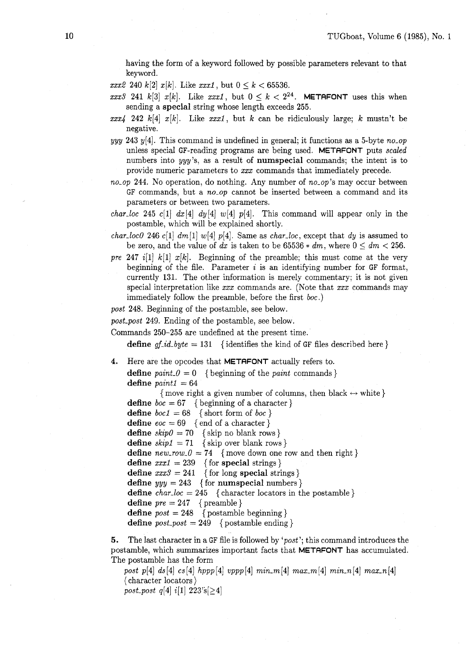having the form of a keyword followed by possible parameters relevant to that keyword.

- $xxx2\ 240\ k[2]\ x[k]$ . Like  $xxx1$ , but  $0 \le k \le 65536$ .
- $\text{xxx3 } 241 \; k[3] \; x[k]$ . Like  $\text{xxx1}$ , but  $0 \leq k < 2^{24}$ . **METAFONT** uses this when sending a **special** string whose length exceeds 255.
- $xxx4$  242 k[4] x[k]. Like xxx1, but k can be ridiculously large; k mustn't be negative.
- yyy 243 y[4]. This command is undefined in general; it functions as a 5-byte no-op unless special GF-reading programs are being used. **METAFONT** puts scaled numbers into yyy's, as a result of **numspecial** commands; the intent is to provide numeric parameters to xxx commands that immediately precede.

no-op 244. No operation, do nothing. Any number of no-op's may occur between GF commands, but a no-op cannot be inserted between a command and its parameters or between two parameters,

*char-loc* 245 c[1]  $dx[4]$   $dy[4]$   $w[4]$   $p[4]$ . This command will appear only in the postamble, which will be explained shortly.

char-loc0 246 c[1]  $dm[1]$  w[4] p[4]. Same as char-loc, except that dy is assumed to be zero, and the value of dx is taken to be  $65536 * dm$ , where  $0 \leq dm \leq 256$ .

pre 247 i[l]  $k[1]$   $x[k]$ . Beginning of the preamble; this must come at the very beginning of the file. Parameter  $i$  is an identifying number for GF format, currently 131. The other information is merely commentary; it is not given special interpretation like  $xxx$  commands are. (Note that  $xxx$  commands may immediately follow the preamble, before the first boc.)

post 248. Beginning of the postamble, see below.

post-post 249. Ending of the postamble, see below.

Commands 250-255 are undefined at the present time.

**define**  $gf_id\_byte = 131$  {identifies the kind of GF files described here }

- **4.** Here are the opcodes that **METRFONT** actually refers to.
	- **define**  $paint_0 = 0$  {beginning of the *paint* commands } define  $paint1 = 64$

{move right a given number of columns, then black  $\leftrightarrow$  white }

**define**  $\mathit{boc} = 67$  { beginning of a character }

- **define**  $boc1 = 68$  { short form of  $boc$  }
- **define**  $\operatorname{eoc} = 69$  { end of a character }
- **define**  $skip0 = 70$  { skip no blank rows }
- **define**  $skip1 = 71$  {skip over blank rows}
- **define**  $new_{1}ow_{1}0 = 74$  {move down one row and then right}
- **define**  $xxx1 = 239$  { for **special** strings }
- **define**  $xxx3 = 241$  { for long **special** strings }
- **define**  $yyy = 243$  { for **numspecial** numbers }

**define**  $char\_loc = 245$  {character locators in the postamble}

**define**  $pre = 247$  { preamble }

- **define**  $post = 248$  {postamble beginning}
- **define**  $post\_post = 249$  {postamble ending }

**5.** The last character in a GF file is followed by 'post'; this command introduces the postamble, which summarizes important facts that **METAFONT** has accumulated. The postamble has the form

post p[4] ds [4] cs [4] hppp [4] vppp [4] min\_m [4] max\_m [4] min\_n [4] max\_n [4] ( character locators )

post\_post q[4]  $i[1]$  223's[ $\geq 4$ ]